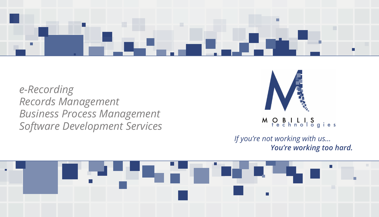

# *e-Recording Records Management Business Process Management Software Development Services*





### Pechnologies M

### *If you're not working with us… You're working too hard.*